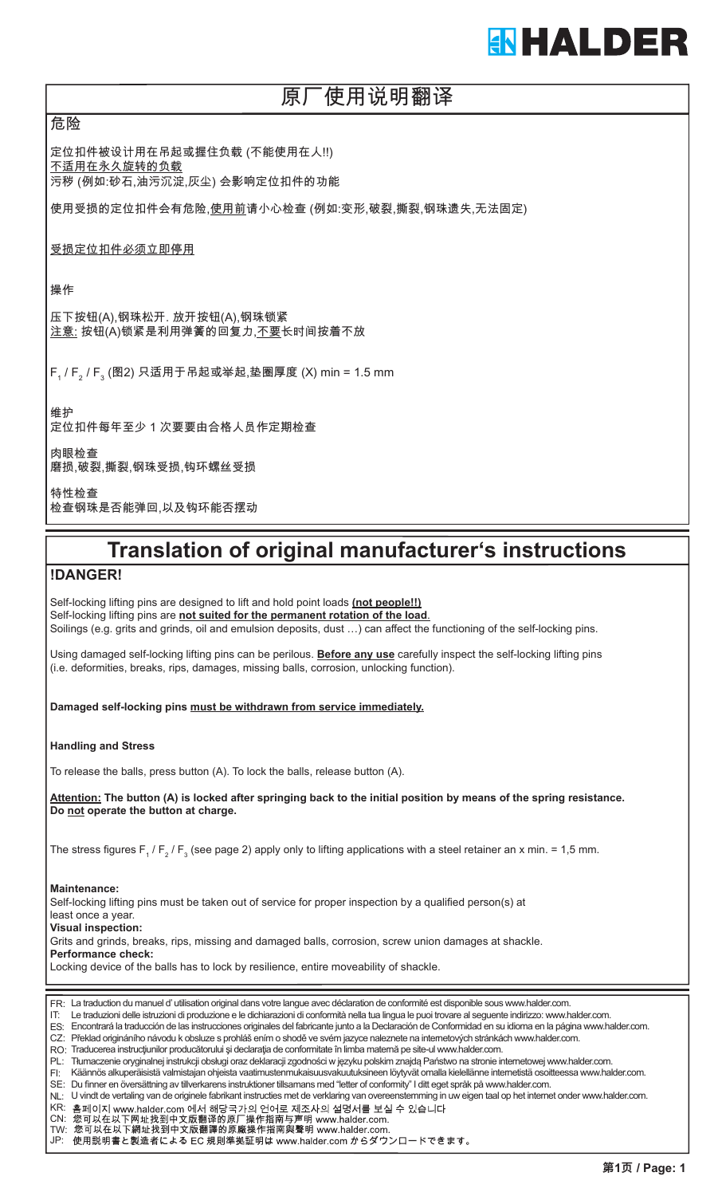## **ENHALDER**

### 原厂使用说明翻译

危险

定位扣件被设计用在吊起或握住负载 (不能使用在人!!) 不适用在永久旋转的负载 污秽 (例如:砂石,油污沉淀,灰尘) 会影响定位扣件的功能

使用受损的定位扣件会有危险,使用前请小心检查 (例如:变形,破裂,撕裂,钢珠遗失,无法固定)

受损定位扣件必须立即停用

操作

压下按钮(A),钢珠松开. 放开按钮(A),钢珠锁紧 注意: 按钮(A)锁紧是利用弹簧的回复力,不要长时间按着不放

F<sub>1</sub> / F<sub>2</sub> / F<sub>3</sub> (图2) 只适用于吊起或举起,垫圈厚度 (X) min = 1.5 mm

维护 定位扣件每年至少 1 次要要由合格人员作定期检查

肉眼检查 磨损,破裂,撕裂,钢珠受损,钩环螺丝受损

特性检查 检查钢珠是否能弹回,以及钩环能否摆动

## **Translation of original manufacturer's instructions**

#### **!DANGER!**

Self-locking lifting pins are designed to lift and hold point loads **(not people!!)** Self-locking lifting pins are **not suited for the permanent rotation of the load**. Soilings (e.g. grits and grinds, oil and emulsion deposits, dust …) can affect the functioning of the self-locking pins.

Using damaged self-locking lifting pins can be perilous. **Before any use** carefully inspect the self-locking lifting pins (i.e. deformities, breaks, rips, damages, missing balls, corrosion, unlocking function).

**Damaged self-locking pins must be withdrawn from service immediately.**

**Handling and Stress**

To release the balls, press button (A). To lock the balls, release button (A).

**Attention: The button (A) is locked after springing back to the initial position by means of the spring resistance. Do not operate the button at charge.**

The stress figures F $_{_1}$  / F $_{_2}$  / F $_{_3}$  (see page 2) apply only to lifting applications with a steel retainer an x min. = 1,5 mm.

**Maintenance:**

Self-locking lifting pins must be taken out of service for proper inspection by a qualified person(s) at least once a year. **Visual inspection:**

Grits and grinds, breaks, rips, missing and damaged balls, corrosion, screw union damages at shackle.

**Performance check:**

Locking device of the balls has to lock by resilience, entire moveability of shackle.

| FR: La traduction du manuel d'utilisation original dans votre langue avec déclaration de conformité est disponible sous www.halder.com. |  |
|-----------------------------------------------------------------------------------------------------------------------------------------|--|
|-----------------------------------------------------------------------------------------------------------------------------------------|--|

IT: Le traduzioni delle istruzioni di produzione e le dichiarazioni di conformità nella tua lingua le puoi trovare al seguente indirizzo: www.halder.com.

ES: Encontrará la traducción de las instrucciones originales del fabricante junto a la Declaración de Conformidad en su idioma en la página www.halder.com.

CZ: Překlad origináního návodu k obsluze s prohláš ením o shodě ve svém jazyce naleznete na internetových stránkách www.halder.com.

RO: Traducerea instrucţiunilor producătorului şi declaraţia de conformitate în limba maternă pe site-ul www.halder.com.

PL: Tłumaczenie oryginalnej instrukcji obsługi oraz deklaracji zgodności w języku polskim znajdą Państwo na stronie internetowej www.halder.com.

FI: Käännös alkuperäisistä valmistajan ohjeista vaatimustenmukaisuusvakuutuksineen löytyvät omalla kielellänne internetistä osoitteessa www.halder.com. SE: Du finner en översättning av tillverkarens instruktioner tillsamans med "letter of conformity" I ditt eget språk på www.halder.com.

NL: U vindt de vertaling van de originele fabrikant instructies met de verklaring van overeenstemming in uw eigen taal op het internet onder www.halder.com.

KR: 홈페이지 www.halder.com 에서 해당국가의 언어로 제조사의 설명서를 보실 수 있습니다

CN:

TW: JP: 使用説明書と製造者による EC 規則準拠証明は www.halder.com からダウンロードできます。